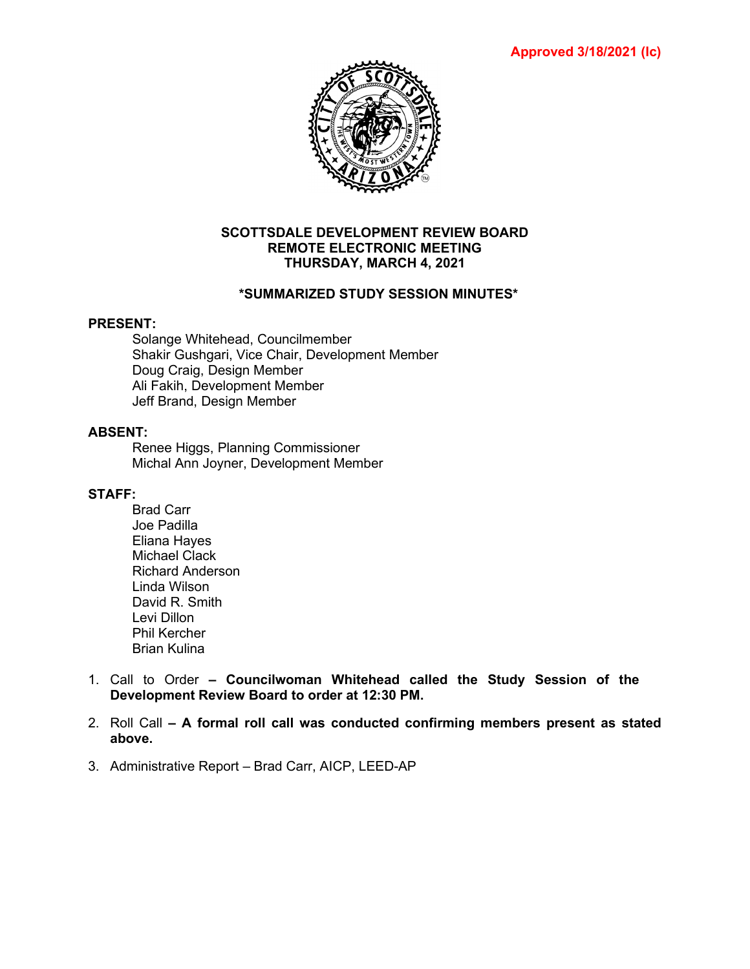**Approved 3/18/2021 (lc)**



#### **SCOTTSDALE DEVELOPMENT REVIEW BOARD REMOTE ELECTRONIC MEETING THURSDAY, MARCH 4, 2021**

## **\*SUMMARIZED STUDY SESSION MINUTES\***

#### **PRESENT:**

Solange Whitehead, Councilmember Shakir Gushgari, Vice Chair, Development Member Doug Craig, Design Member Ali Fakih, Development Member Jeff Brand, Design Member

## **ABSENT:**

Renee Higgs, Planning Commissioner Michal Ann Joyner, Development Member

## **STAFF:**

- Brad Carr Joe Padilla Eliana Hayes Michael Clack Richard Anderson Linda Wilson David R. Smith Levi Dillon Phil Kercher Brian Kulina
- 1. Call to Order **– Councilwoman Whitehead called the Study Session of the Development Review Board to order at 12:30 PM.**
- 2. Roll Call **– A formal roll call was conducted confirming members present as stated above.**
- 3. Administrative Report Brad Carr, AICP, LEED-AP